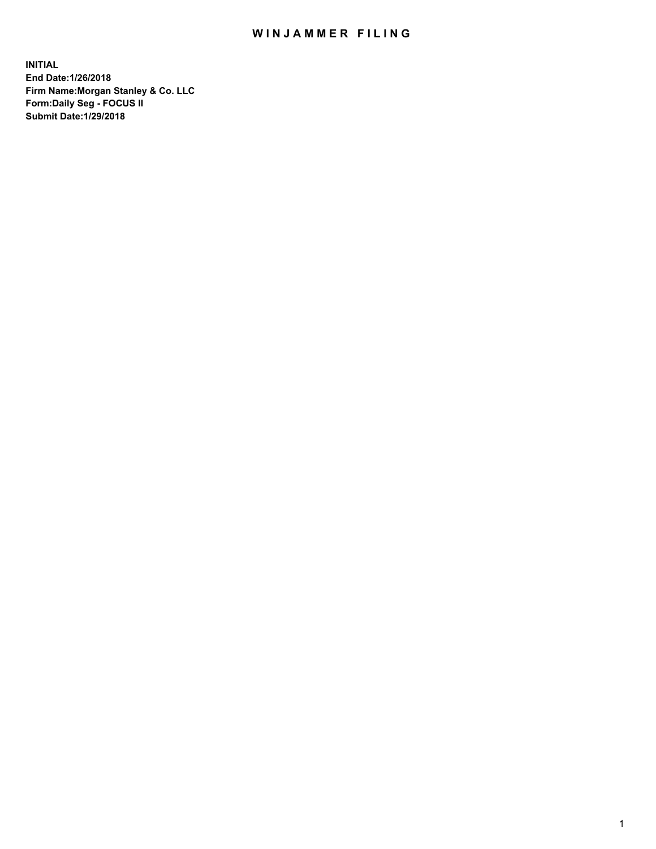## WIN JAMMER FILING

**INITIAL End Date:1/26/2018 Firm Name:Morgan Stanley & Co. LLC Form:Daily Seg - FOCUS II Submit Date:1/29/2018**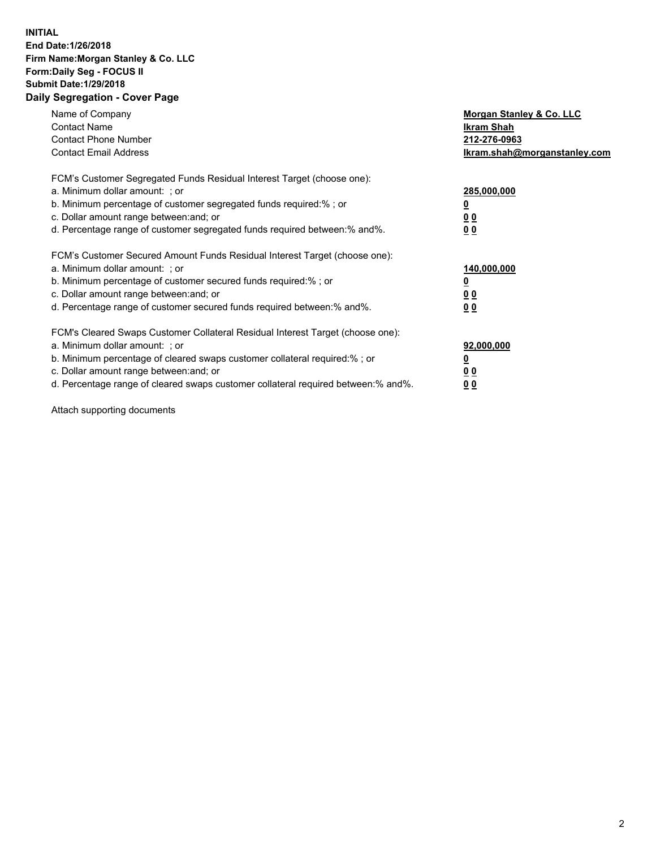## **INITIAL End Date:1/26/2018 Firm Name:Morgan Stanley & Co. LLC Form:Daily Seg - FOCUS II Submit Date:1/29/2018 Daily Segregation - Cover Page**

| Name of Company<br><b>Contact Name</b><br><b>Contact Phone Number</b><br><b>Contact Email Address</b>                                                                                                                                                                                                                         | Morgan Stanley & Co. LLC<br>Ikram Shah<br>212-276-0963<br>lkram.shah@morganstanley.com |
|-------------------------------------------------------------------------------------------------------------------------------------------------------------------------------------------------------------------------------------------------------------------------------------------------------------------------------|----------------------------------------------------------------------------------------|
| FCM's Customer Segregated Funds Residual Interest Target (choose one):<br>a. Minimum dollar amount: ; or<br>b. Minimum percentage of customer segregated funds required:%; or<br>c. Dollar amount range between: and; or<br>d. Percentage range of customer segregated funds required between:% and%.                         | 285,000,000<br>0 <sub>0</sub><br>00                                                    |
| FCM's Customer Secured Amount Funds Residual Interest Target (choose one):<br>a. Minimum dollar amount: ; or<br>b. Minimum percentage of customer secured funds required:%; or<br>c. Dollar amount range between: and; or<br>d. Percentage range of customer secured funds required between:% and%.                           | 140,000,000<br>0 <sub>0</sub><br>0 <sub>0</sub>                                        |
| FCM's Cleared Swaps Customer Collateral Residual Interest Target (choose one):<br>a. Minimum dollar amount: ; or<br>b. Minimum percentage of cleared swaps customer collateral required:%; or<br>c. Dollar amount range between: and; or<br>d. Percentage range of cleared swaps customer collateral required between:% and%. | 92,000,000<br>0 <sub>0</sub><br><u>00</u>                                              |

Attach supporting documents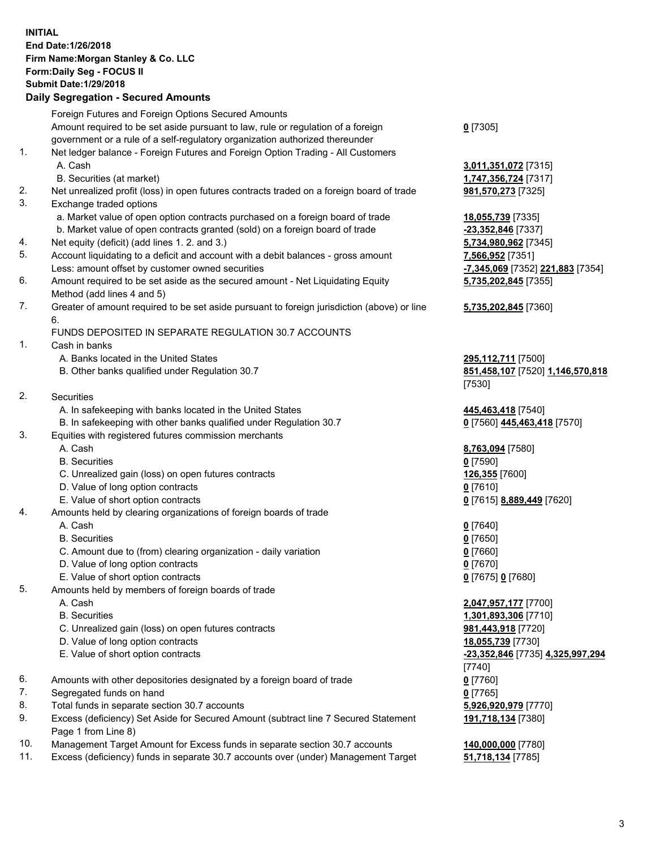## **INITIAL End Date:1/26/2018 Firm Name:Morgan Stanley & Co. LLC Form:Daily Seg - FOCUS II Submit Date:1/29/2018**

## **Daily Segregation - Secured Amounts**

|    | Foreign Futures and Foreign Options Secured Amounts                                         |                                  |
|----|---------------------------------------------------------------------------------------------|----------------------------------|
|    | Amount required to be set aside pursuant to law, rule or regulation of a foreign            | $0$ [7305]                       |
|    |                                                                                             |                                  |
| 1. | government or a rule of a self-regulatory organization authorized thereunder                |                                  |
|    | Net ledger balance - Foreign Futures and Foreign Option Trading - All Customers             |                                  |
|    | A. Cash                                                                                     | 3,011,351,072 [7315]             |
|    | B. Securities (at market)                                                                   | 1,747,356,724 [7317]             |
| 2. | Net unrealized profit (loss) in open futures contracts traded on a foreign board of trade   | 981,570,273 [7325]               |
| 3. | Exchange traded options                                                                     |                                  |
|    | a. Market value of open option contracts purchased on a foreign board of trade              | 18,055,739 [7335]                |
|    | b. Market value of open contracts granted (sold) on a foreign board of trade                | -23,352,846 [7337]               |
| 4. | Net equity (deficit) (add lines 1. 2. and 3.)                                               | 5,734,980,962 [7345]             |
| 5. | Account liquidating to a deficit and account with a debit balances - gross amount           | 7,566,952 [7351]                 |
|    | Less: amount offset by customer owned securities                                            | -7,345,069 [7352] 221,883 [7354] |
| 6. | Amount required to be set aside as the secured amount - Net Liquidating Equity              | 5,735,202,845 [7355]             |
|    | Method (add lines 4 and 5)                                                                  |                                  |
| 7. | Greater of amount required to be set aside pursuant to foreign jurisdiction (above) or line | 5,735,202,845 [7360]             |
|    | 6.                                                                                          |                                  |
|    | FUNDS DEPOSITED IN SEPARATE REGULATION 30.7 ACCOUNTS                                        |                                  |
| 1. | Cash in banks                                                                               |                                  |
|    | A. Banks located in the United States                                                       | 295,112,711 [7500]               |
|    | B. Other banks qualified under Regulation 30.7                                              | 851,458,107 [7520] 1,146,570,818 |
|    |                                                                                             | [7530]                           |
| 2. | Securities                                                                                  |                                  |
|    | A. In safekeeping with banks located in the United States                                   | 445,463,418 [7540]               |
|    | B. In safekeeping with other banks qualified under Regulation 30.7                          | 0 [7560] 445,463,418 [7570]      |
| 3. | Equities with registered futures commission merchants                                       |                                  |
|    | A. Cash                                                                                     | 8,763,094 [7580]                 |
|    | <b>B.</b> Securities                                                                        | $0$ [7590]                       |
|    | C. Unrealized gain (loss) on open futures contracts                                         | 126,355 [7600]                   |
|    | D. Value of long option contracts                                                           | $0$ [7610]                       |
|    | E. Value of short option contracts                                                          | 0 [7615] 8,889,449 [7620]        |
| 4. | Amounts held by clearing organizations of foreign boards of trade                           |                                  |
|    | A. Cash                                                                                     | $0$ [7640]                       |
|    | <b>B.</b> Securities                                                                        | $0$ [7650]                       |
|    | C. Amount due to (from) clearing organization - daily variation                             |                                  |
|    |                                                                                             | $0$ [7660]                       |
|    | D. Value of long option contracts                                                           | $0$ [7670]                       |
| 5. | E. Value of short option contracts                                                          | 0 [7675] 0 [7680]                |
|    | Amounts held by members of foreign boards of trade                                          |                                  |
|    | A. Cash                                                                                     | 2,047,957,177 [7700]             |
|    | <b>B.</b> Securities                                                                        | 1,301,893,306 [7710]             |
|    | C. Unrealized gain (loss) on open futures contracts                                         | 981,443,918 [7720]               |
|    | D. Value of long option contracts                                                           | 18,055,739 [7730]                |
|    | E. Value of short option contracts                                                          | -23,352,846 [7735] 4,325,997,294 |
|    |                                                                                             | $[7740]$                         |
| 6. | Amounts with other depositories designated by a foreign board of trade                      | $0$ [7760]                       |
| 7. | Segregated funds on hand                                                                    | $0$ [7765]                       |
| 8. | Total funds in separate section 30.7 accounts                                               | 5,926,920,979 [7770]             |
| 9. | Excess (deficiency) Set Aside for Secured Amount (subtract line 7 Secured Statement         | 191,718,134 [7380]               |
|    | Page 1 from Line 8)                                                                         |                                  |

- 10. Management Target Amount for Excess funds in separate section 30.7 accounts **140,000,000** [7780]<br>11. Excess (deficiency) funds in separate 30.7 accounts over (under) Management Target 51,718,134 [7785]
- 11. Excess (deficiency) funds in separate 30.7 accounts over (under) Management Target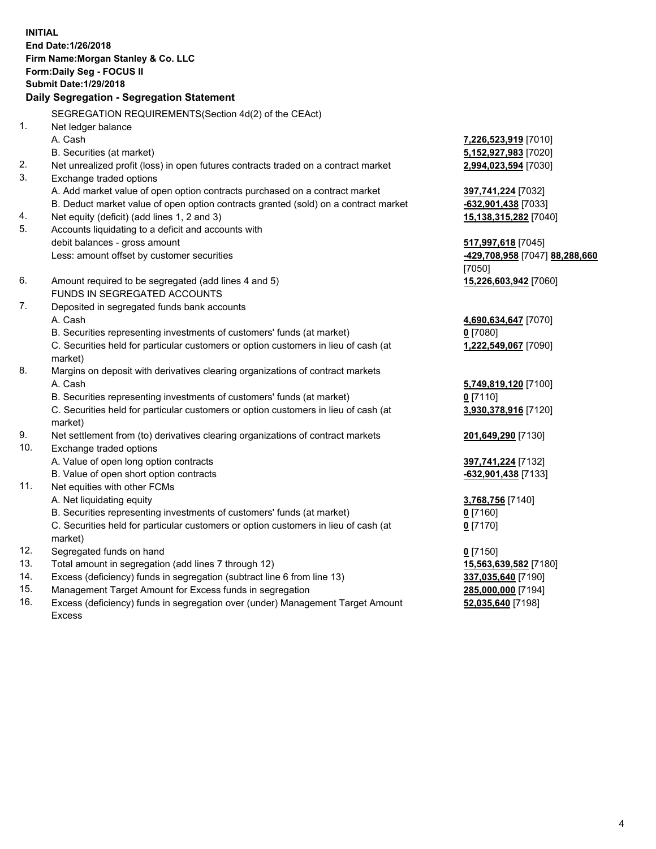**INITIAL End Date:1/26/2018 Firm Name:Morgan Stanley & Co. LLC Form:Daily Seg - FOCUS II Submit Date:1/29/2018 Daily Segregation - Segregation Statement** SEGREGATION REQUIREMENTS(Section 4d(2) of the CEAct) 1. Net ledger balance A. Cash **7,226,523,919** [7010] B. Securities (at market) **5,152,927,983** [7020] 2. Net unrealized profit (loss) in open futures contracts traded on a contract market **2,994,023,594** [7030] 3. Exchange traded options A. Add market value of open option contracts purchased on a contract market **397,741,224** [7032] B. Deduct market value of open option contracts granted (sold) on a contract market **-632,901,438** [7033] 4. Net equity (deficit) (add lines 1, 2 and 3) **15,138,315,282** [7040] 5. Accounts liquidating to a deficit and accounts with debit balances - gross amount **517,997,618** [7045] Less: amount offset by customer securities **-429,708,958** [7047] **88,288,660** [7050] 6. Amount required to be segregated (add lines 4 and 5) **15,226,603,942** [7060] FUNDS IN SEGREGATED ACCOUNTS 7. Deposited in segregated funds bank accounts A. Cash **4,690,634,647** [7070] B. Securities representing investments of customers' funds (at market) **0** [7080] C. Securities held for particular customers or option customers in lieu of cash (at market) **1,222,549,067** [7090] 8. Margins on deposit with derivatives clearing organizations of contract markets A. Cash **5,749,819,120** [7100] B. Securities representing investments of customers' funds (at market) **0** [7110] C. Securities held for particular customers or option customers in lieu of cash (at market) **3,930,378,916** [7120] 9. Net settlement from (to) derivatives clearing organizations of contract markets **201,649,290** [7130] 10. Exchange traded options A. Value of open long option contracts **397,741,224** [7132] B. Value of open short option contracts **and the set of open short option contracts -632,901,438** [7133] 11. Net equities with other FCMs A. Net liquidating equity **3,768,756** [7140] B. Securities representing investments of customers' funds (at market) **0** [7160] C. Securities held for particular customers or option customers in lieu of cash (at market) **0** [7170] 12. Segregated funds on hand **0** [7150] 13. Total amount in segregation (add lines 7 through 12) **15,563,639,582** [7180] 14. Excess (deficiency) funds in segregation (subtract line 6 from line 13) **337,035,640** [7190]

- 15. Management Target Amount for Excess funds in segregation **285,000,000** [7194]
- 16. Excess (deficiency) funds in segregation over (under) Management Target Amount Excess

**52,035,640** [7198]